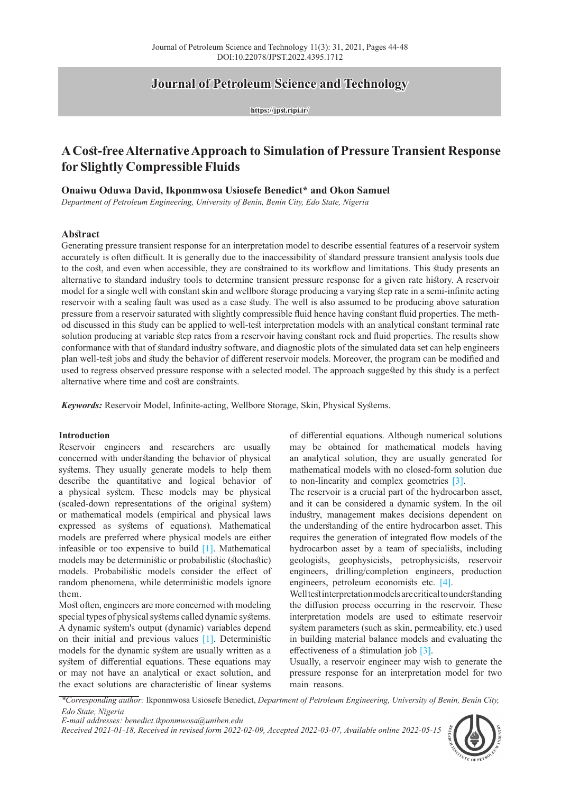# **Journal of Petroleum Science and Technology**

**https://jpst.ripi.ir/**

# **A Cost-free Alternative Approach to Simulation of Pressure Transient Response for Slightly Compressible Fluids**

## **Onaiwu Oduwa David, Ikponmwosa Usiosefe Benedict\* and Okon Samuel**

*Department of Petroleum Engineering, University of Benin, Benin City, Edo State, Nigeria*

## **Abstract**

Generating pressure transient response for an interpretation model to describe essential features of a reservoir system accurately is often difficult. It is generally due to the inaccessibility of standard pressure transient analysis tools due to the cost, and even when accessible, they are constrained to its workflow and limitations. This study presents an alternative to standard industry tools to determine transient pressure response for a given rate history. A reservoir model for a single well with constant skin and wellbore storage producing a varying step rate in a semi-infinite acting reservoir with a sealing fault was used as a case study. The well is also assumed to be producing above saturation pressure from a reservoir saturated with slightly compressible fluid hence having constant fluid properties. The method discussed in this study can be applied to well-test interpretation models with an analytical constant terminal rate solution producing at variable step rates from a reservoir having constant rock and fluid properties. The results show conformance with that of standard industry software, and diagnostic plots of the simulated data set can help engineers plan well-test jobs and study the behavior of different reservoir models. Moreover, the program can be modified and used to regress observed pressure response with a selected model. The approach suggested by this study is a perfect alternative where time and cost are constraints.

*Keywords:* Reservoir Model, Infinite-acting, Wellbore Storage, Skin, Physical Systems.

#### **Introduction**

Reservoir engineers and researchers are usually concerned with understanding the behavior of physical systems. They usually generate models to help them describe the quantitative and logical behavior of a physical system. These models may be physical (scaled-down representations of the original system) or mathematical models (empirical and physical laws expressed as systems of equations). Mathematical models are preferred where physical models are either infeasible or too expensive to build [1]. Mathematical models may be deterministic or probabilistic (stochastic) models. Probabilistic models consider the effect of random phenomena, while deterministic models ignore them.

Most often, engineers are more concerned with modeling special types of physical systems called dynamic systems. A dynamic system's output (dynamic) variables depend on their initial and previous values [1]. Deterministic models for the dynamic system are usually written as a system of differential equations. These equations may or may not have an analytical or exact solution, and the exact solutions are characteristic of linear systems

of differential equations. Although numerical solutions may be obtained for mathematical models having an analytical solution, they are usually generated for mathematical models with no closed-form solution due to non-linearity and complex geometries [3].

The reservoir is a crucial part of the hydrocarbon asset, and it can be considered a dynamic system. In the oil industry, management makes decisions dependent on the understanding of the entire hydrocarbon asset. This requires the generation of integrated flow models of the hydrocarbon asset by a team of specialists, including geologists, geophysicists, petrophysicists, reservoir engineers, drilling/completion engineers, production engineers, petroleum economists etc. [4].

Well test interpretation models are critical to understanding the diffusion process occurring in the reservoir. These interpretation models are used to estimate reservoir system parameters (such as skin, permeability, etc.) used in building material balance models and evaluating the effectiveness of a stimulation job [3].

Usually, a reservoir engineer may wish to generate the pressure response for an interpretation model for two main reasons.

*\*Corresponding author:* Ikponmwosa Usiosefe Benedict, *Department of Petroleum Engineering, University of Benin, Benin City, Edo State, Nigeria*

*E-mail addresses: benedict.ikponmwosa@uniben.edu*

*Received 2021-01-18, Received in revised form 2022-02-09, Accepted 2022-03-07, Available online 2022-05-15*

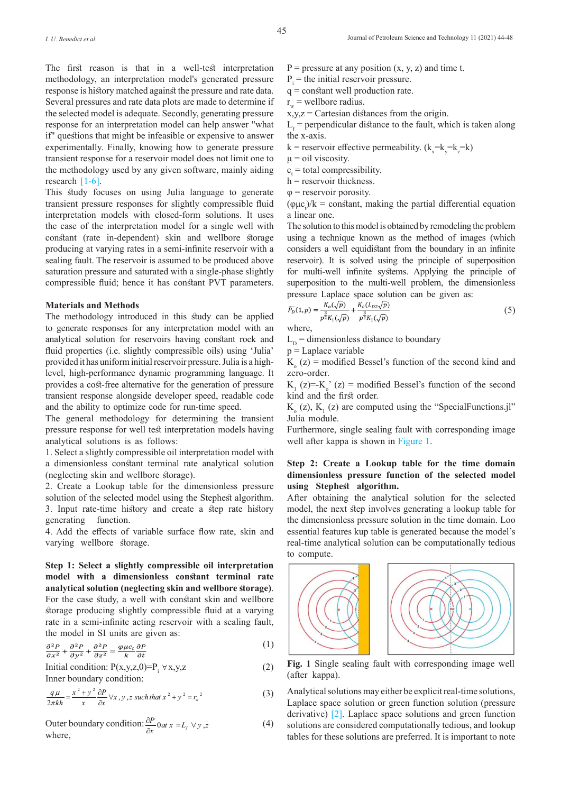The first reason is that in a well-test interpretation methodology, an interpretation model's generated pressure response is history matched against the pressure and rate data. Several pressures and rate data plots are made to determine if the selected model is adequate. Secondly, generating pressure response for an interpretation model can help answer "what if" questions that might be infeasible or expensive to answer experimentally. Finally, knowing how to generate pressure transient response for a reservoir model does not limit one to the methodology used by any given software, mainly aiding research [1-6].

This study focuses on using Julia language to generate transient pressure responses for slightly compressible fluid interpretation models with closed-form solutions. It uses the case of the interpretation model for a single well with constant (rate in-dependent) skin and wellbore storage producing at varying rates in a semi-infinite reservoir with a sealing fault. The reservoir is assumed to be produced above saturation pressure and saturated with a single-phase slightly compressible fluid; hence it has constant PVT parameters.

## **Materials and Methods**

The methodology introduced in this study can be applied to generate responses for any interpretation model with an analytical solution for reservoirs having constant rock and fluid properties (i.e. slightly compressible oils) using 'Julia' provided it has uniform initial reservoir pressure. Julia is a highlevel, high-performance dynamic programming language. It provides a cost-free alternative for the generation of pressure transient response alongside developer speed, readable code and the ability to optimize code for run-time speed.

The general methodology for determining the transient pressure response for well test interpretation models having analytical solutions is as follows:

1. Select a slightly compressible oil interpretation model with a dimensionless constant terminal rate analytical solution (neglecting skin and wellbore storage).

2. Create a Lookup table for the dimensionless pressure solution of the selected model using the Stephest algorithm. 3. Input rate-time history and create a step rate history generating function.

4. Add the effects of variable surface flow rate, skin and varying wellbore storage.

**Step 1: Select a slightly compressible oil interpretation model with a dimensionless constant terminal rate analytical solution (neglecting skin and wellbore storage)**. For the case study, a well with constant skin and wellbore storage producing slightly compressible fluid at a varying rate in a semi-infinite acting reservoir with a sealing fault, the model in SI units are given as:

$$
\frac{\partial^2 P}{\partial x^2} + \frac{\partial^2 P}{\partial y^2} + \frac{\partial^2 P}{\partial z^2} = \frac{\varphi \mu c_t}{k} \frac{\partial P}{\partial t}
$$
 (1)

Initial condition:  $P(x,y,z,0)=P_i \forall x,y,z$  (2) Inner boundary condition:

$$
\frac{q\mu}{2\pi kh} = \frac{x^2 + y^2}{x} \frac{\partial P}{\partial x} \forall x, y, z \text{ such that } x^2 + y^2 = r_w^2 \tag{3}
$$

Outer boundary condition: 
$$
\frac{\partial P}{\partial x}
$$
 0 at  $x = L_f \forall y, z$  (4)  
where,

- $P =$  pressure at any position  $(x, y, z)$  and time t.
- $P_i$  = the initial reservoir pressure.
- q = constant well production rate.
- $r_{w}$  = wellbore radius.

 $x,y,z =$  Cartesian distances from the origin.

 $L_f$  = perpendicular distance to the fault, which is taken along the x-axis.

 $k =$  reservoir effective permeability.  $(k_x=k_y=k_z=k)$ 

 $\mu$  = oil viscosity.

 $c_t$  = total compressibility.

- $h$  = reservoir thickness.
- $\varphi$  = reservoir porosity.

 $(\varphi \mu c)$ /k = constant, making the partial differential equation a linear one.

The solution to this model is obtained by remodeling the problem using a technique known as the method of images (which considers a well equidistant from the boundary in an infinite reservoir). It is solved using the principle of superposition for multi-well infinite systems. Applying the principle of superposition to the multi-well problem, the dimensionless pressure Laplace space solution can be given as:

$$
\widetilde{P_D}(1,p) = \frac{K_o(\sqrt{p})}{p^{\frac{3}{2}}K_1(\sqrt{p})} + \frac{K_o(L_{D2}\sqrt{p})}{p^{\frac{3}{2}}K_1(\sqrt{p})}
$$
\n
$$
\tag{5}
$$

where,

 $L<sub>p</sub>$  = dimensionless distance to boundary

 $p = Laplace$  variable

 $K_0$  (z) = modified Bessel's function of the second kind and zero-order.

 $K_1(z)=K_0$ ' (z) = modified Bessel's function of the second kind and the first order.

 $K_0(z)$ ,  $K_1(z)$  are computed using the "SpecialFunctions.jl" Julia module.

Furthermore, single sealing fault with corresponding image well after kappa is shown in Figure 1.

## **Step 2: Create a Lookup table for the time domain dimensionless pressure function of the selected model using Stephest algorithm.**

After obtaining the analytical solution for the selected model, the next step involves generating a lookup table for the dimensionless pressure solution in the time domain. Loo essential features kup table is generated because the model's real-time analytical solution can be computationally tedious to compute.



**Fig. 1** Single sealing fault with corresponding image well (after kappa).

Analytical solutions may either be explicit real-time solutions, Laplace space solution or green function solution (pressure derivative) [2]. Laplace space solutions and green function solutions are considered computationally tedious, and lookup tables for these solutions are preferred. It is important to note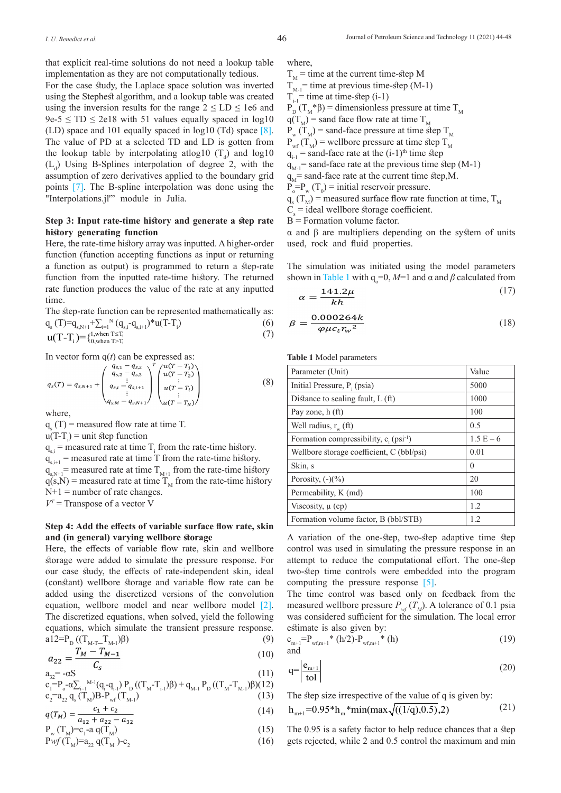For the case study, the Laplace space solution was inverted using the Stephest algorithm, and a lookup table was created using the inversion results for the range  $2 \leq LD \leq 1e6$  and  $9e-5 \leq TD \leq 2e18$  with 51 values equally spaced in log10 (LD) space and 101 equally spaced in log10 (Td) space [8]. The value of PD at a selected TD and LD is gotten from the lookup table by interpolating at log10  $(T_d)$  and log10  $(L_d)$  Using B-Splines interpolation of degree 2, with the assumption of zero derivatives applied to the boundary grid points [7]. The B-spline interpolation was done using the "Interpolations.jl'" module in Julia.

# **Step 3: Input rate-time history and generate a step rate history generating function**

Here, the rate-time history array was inputted. A higher-order function (function accepting functions as input or returning a function as output) is programmed to return a step-rate function from the inputted rate-time history. The returned rate function produces the value of the rate at any inputted time.

The step-rate function can be represented mathematically as:

$$
q_s(T)=q_{s,N+1}+\sum_{i=1}^{N} (q_{s,i}-q_{s,i+1})^*u(T-T_i)
$$
\n
$$
u(T-T_i)=\begin{cases}1,\text{when }T\leq T_i\\0,\text{when }T>T_i\end{cases}
$$
\n(7)

In vector form  $q(t)$  can be expressed as:

$$
q_s(T) = q_{s,N+1} + \begin{pmatrix} q_{s,1} - q_{s,2} \\ q_{s,2} - q_{s,3} \\ q_{s,i} - q_{s,i+1} \\ \vdots \\ q_{s,M} - q_{s,N+1} \end{pmatrix} \begin{pmatrix} u(T - T_1) \\ u(T - T_2) \\ \vdots \\ u(T - T_i) \\ u(T - T_N) \end{pmatrix}
$$
(8)

where,

 $q_s(T)$  = measured flow rate at time T.

 $u(T-T_i) = unit step function$ 

 $q_{s,i}$  = measured rate at time  $T_i$  from the rate-time history.  $q_{s,i+1}$  = measured rate at time T from the rate-time history.  $q_{s,N+1}$ = measured rate at time T<sub>M+1</sub> from the rate-time history  $q(s,N)$  = measured rate at time  $T_M$  from the rate-time history  $N+1$  = number of rate changes.  $V^T$  = Transpose of a vector V

## **Step 4: Add the effects of variable surface flow rate, skin and (in general) varying wellbore storage**

Here, the effects of variable flow rate, skin and wellbore storage were added to simulate the pressure response. For our case study, the effects of rate-independent skin, ideal (constant) wellbore storage and variable flow rate can be added using the discretized versions of the convolution equation, wellbore model and near wellbore model [2]. The discretized equations, when solved, yield the following equations, which simulate the transient pressure response.  $a12=p_{n}((T_{MT}T_{M})\beta)$  (9)

$$
q_{02} = \frac{T_M - T_{M-1}}{T_M - T_{M-1}}
$$
(10)

$$
c_s
$$
  
\n
$$
a_{32} = -\alpha S \tag{11}
$$

$$
\begin{array}{l}c_{i} = P_{o}\textrm{-}\alpha \sum_{i=1}^{M-1} (q_{i}\textrm{-}q_{i\textrm{-}1})\ P_{D}\left((T_{M}\textrm{-}T_{i\textrm{-}1})\beta\right) + q_{M\textrm{-}1}\ P_{D}\left((T_{M}\textrm{-}T_{M\textrm{-}1})\beta\right) (12)\\c_{2} = a_{22} \ q_{s}\left(T_{M})B\textrm{-}P_{wf}\left(T_{M\textrm{-}1}\right)\end{array}\tag{13}
$$

$$
a(T_{V}) = \frac{c_1 + c_2}{(14)}
$$
 (14)

$$
q(T_M) = \frac{1}{a_{12} + a_{22} - a_{32}} \tag{15}
$$

$$
P_w(T_M)=c_1-aq(T_M)
$$
  
\n
$$
Pwf(T_M)=a_{22}q(T_M)-c_2
$$
 (15)

where,

 $T_M$  = time at the current time-step M  $T_{M-1}$ = time at previous time-step (M-1)  $T_{i-1}$ = time at time-step (i-1)  $P_{\text{D}} (T_M^* \beta)$  = dimensionless pressure at time  $T_M$  $q(T_M)$  = sand face flow rate at time T<sub>M</sub>  $P_w(T_M)$  = sand-face pressure at time step T<sub>M</sub>  $P_{\text{wf}}(T_M)$  = wellbore pressure at time step  $T_M$  $q_{i-1}$  = sand-face rate at the (i-1)<sup>th</sup> time step  $q_{M-1}$  = sand-face rate at the previous time step (M-1)  $q_M$ = sand-face rate at the current time step,M.  $P_{o} = P_{w} (T_{0}) = \text{initial reservoir pressure.}$  $q_s(T_M)$  = measured surface flow rate function at time,  $T_M$ 

 $C_s$  = ideal wellbore storage coefficient.

 $B =$  Formation volume factor.

α and β are multipliers depending on the system of units used, rock and fluid properties.

The simulation was initiated using the model parameters shown in Table 1 with  $q_0=0$ ,  $M=1$  and α and  $β$  calculated from

$$
\alpha = \frac{141.2\mu}{kh} \tag{17}
$$

$$
\beta = \frac{0.000264k}{\varphi \mu c_t r_w^2} \tag{18}
$$

**Table 1** Model parameters

| Parameter (Unit)                                      | Value       |
|-------------------------------------------------------|-------------|
| Initial Pressure, P. (psia)                           | 5000        |
| Distance to sealing fault, $L(ft)$                    | 1000        |
| Pay zone, h (ft)                                      | 100         |
| Well radius, $r_w$ (ft)                               | 0.5         |
| Formation compressibility, $c_r$ (psi <sup>-1</sup> ) | $1.5 E - 6$ |
| Wellbore storage coefficient, C (bbl/psi)             | 0.01        |
| Skin, s                                               | $\Omega$    |
| Porosity, $(-)(\%)$                                   | 20          |
| Permeability, K (md)                                  | 100         |
| Viscosity, $\mu$ (cp)                                 | 1.2         |
| Formation volume factor, B (bbl/STB)                  | 1.2         |

A variation of the one-step, two-step adaptive time step control was used in simulating the pressure response in an attempt to reduce the computational effort. The one-step two-step time controls were embedded into the program computing the pressure response [5].

The time control was based only on feedback from the measured wellbore pressure  $P_{wf}(T_M)$ . A tolerance of 0.1 psia was considered sufficient for the simulation. The local error estimate is also given by:

$$
e_{m+1} = P_{wf,m+1} * (h/2) - P_{wf,m+1} * (h)
$$
 (19)  
and

$$
q = \left| \frac{e_{m+1}}{\text{tol}} \right| \tag{20}
$$

The step size irrespective of the value of q is given by:  $h_{m+1} = 0.95*h_m * min(max\sqrt{((1/q),0.5)},2)$  (21)

The 0.95 is a safety factor to help reduce chances that a step gets rejected, while 2 and 0.5 control the maximum and min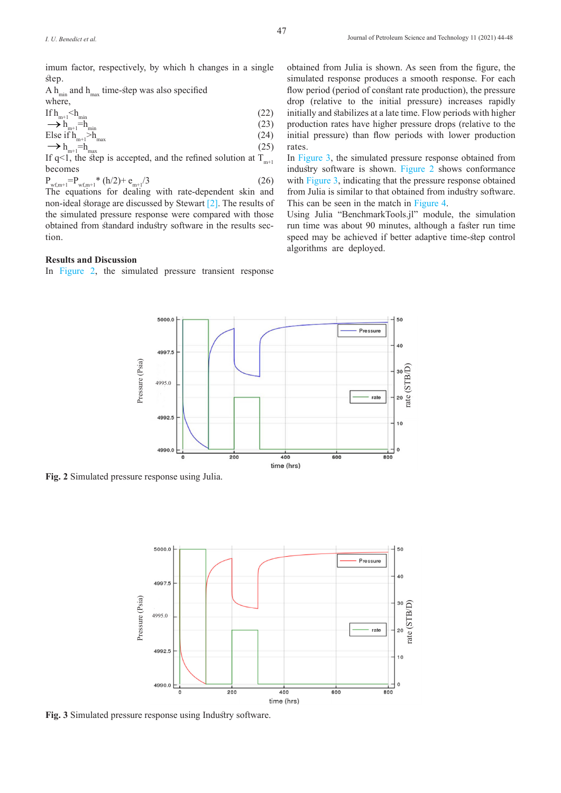imum factor, respectively, by which h changes in a single step.

A  $h_{\text{min}}$  and  $h_{\text{max}}$  time-step was also specified where,

$$
\text{If } h_{m+1} < h_{\text{min}} \\
\longrightarrow h_{m+1} = h_{\text{min}} \tag{22}
$$

\n Else if 
$$
\mathbf{h}_{m+1} > \mathbf{h}_{\text{max}}
$$
 (24)\n  $\longrightarrow \mathbf{h}_{m+1} = \mathbf{h}_{\text{max}}$ \n

If q<1, the step is accepted, and the refined solution at  $T_{m+1}$ becomes

$$
P_{wf,m+1} = P_{wf,m+1} * (h/2) + e_{m+1}/3
$$
\n(26)

The equations for dealing with rate-dependent skin and non-ideal storage are discussed by Stewart [2]. The results of the simulated pressure response were compared with those obtained from standard industry software in the results section.

#### **Results and Discussion**

In Figure 2, the simulated pressure transient response

obtained from Julia is shown. As seen from the figure, the simulated response produces a smooth response. For each flow period (period of constant rate production), the pressure drop (relative to the initial pressure) increases rapidly initially and stabilizes at a late time. Flow periods with higher production rates have higher pressure drops (relative to the initial pressure) than flow periods with lower production rates.

In Figure 3, the simulated pressure response obtained from industry software is shown. Figure 2 shows conformance with Figure 3, indicating that the pressure response obtained from Julia is similar to that obtained from industry software. This can be seen in the match in Figure 4.

Using Julia "BenchmarkTools.jl" module, the simulation run time was about 90 minutes, although a faster run time speed may be achieved if better adaptive time-step control algorithms are deployed.



**Fig. 2** Simulated pressure response using Julia.



**Fig. 3** Simulated pressure response using Industry software.